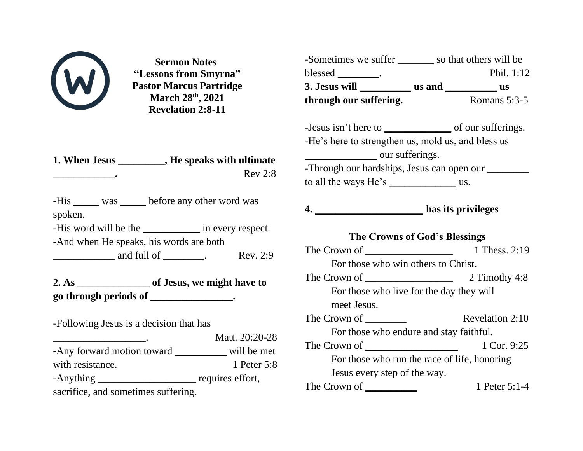

**Sermon Notes "Lessons from Smyrna" Pastor Marcus Partridge March 28th, 2021 Revelation 2:8-11**

**1. When Jesus \_\_\_\_\_\_\_\_\_, He speaks with ultimate \_\_\_\_\_\_\_\_\_\_\_\_.** Rev 2:8

-His was before any other word was spoken.

-His word will be the \_\_\_\_\_\_\_\_\_\_\_\_ in every respect.

-And when He speaks, his words are both

and full of \_\_\_\_\_\_\_\_. Rev. 2:9

**2. As \_\_\_\_\_\_\_\_\_\_\_\_\_\_ of Jesus, we might have to go through periods of \_\_\_\_\_\_\_\_\_\_\_\_\_\_\_\_.** 

-Following Jesus is a decision that has

\_\_\_\_\_\_\_\_\_\_\_\_\_\_\_\_\_\_. Matt. 20:20-28 -Any forward motion toward \_\_\_\_\_\_\_\_\_\_ will be met with resistance. 1 Peter 5:8 -Anything \_\_\_\_\_\_\_\_\_\_\_\_\_\_\_\_\_\_\_\_\_\_\_\_ requires effort, sacrifice, and sometimes suffering.

| -Sometimes we suffer ________ so that others will be |  |                 |
|------------------------------------------------------|--|-----------------|
| blessed __________.                                  |  | Phil. 1:12      |
|                                                      |  |                 |
| through our suffering.                               |  | Romans $5:3-5$  |
|                                                      |  |                 |
|                                                      |  |                 |
| -He's here to strengthen us, mold us, and bless us   |  |                 |
| our sufferings.                                      |  |                 |
| -Through our hardships, Jesus can open our ________  |  |                 |
|                                                      |  |                 |
|                                                      |  |                 |
| 4. has its privileges                                |  |                 |
|                                                      |  |                 |
|                                                      |  |                 |
| <b>The Crowns of God's Blessings</b>                 |  |                 |
|                                                      |  | 1 Thess. 2:19   |
| For those who win others to Christ.                  |  |                 |
|                                                      |  | 2 Timothy 4:8   |
| For those who live for the day they will             |  |                 |
| meet Jesus.                                          |  |                 |
|                                                      |  | Revelation 2:10 |
| For those who endure and stay faithful.              |  |                 |
|                                                      |  | 1 Cor. 9:25     |
| For those who run the race of life, honoring         |  |                 |
| Jesus every step of the way.                         |  |                 |